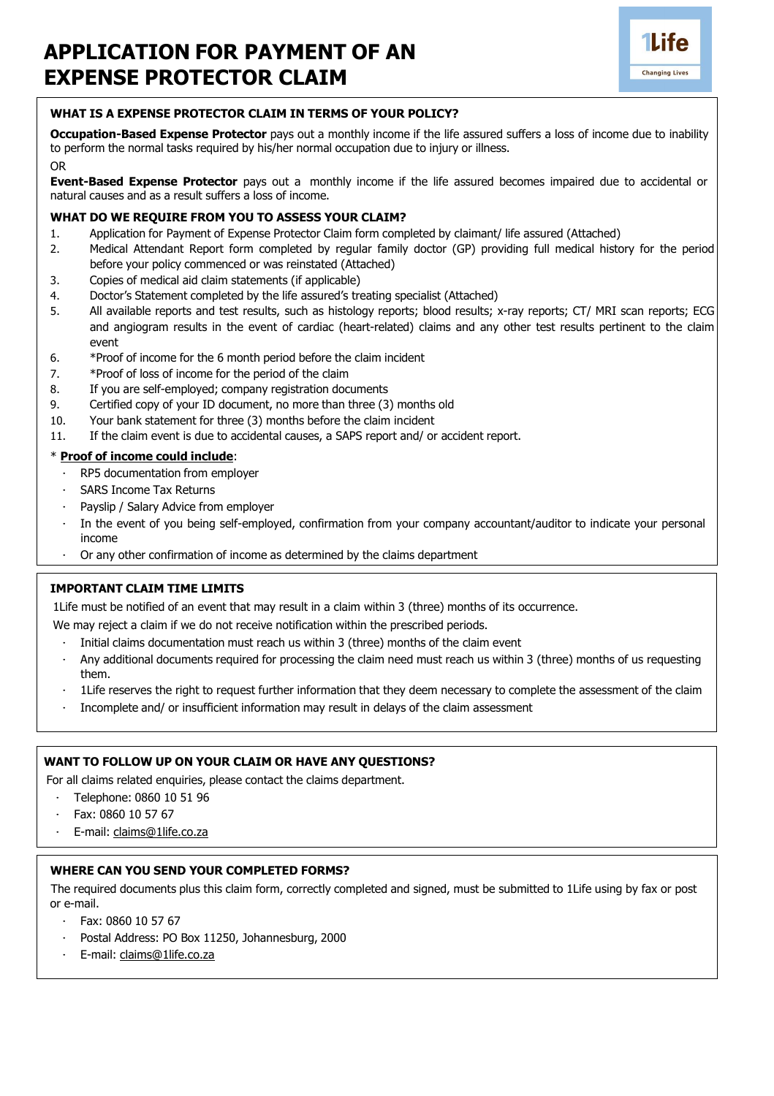# **APPLICATION FOR PAYMENT OF AN EXPENSE PROTECTOR CLAIM**



# **WHAT IS A EXPENSE PROTECTOR CLAIM IN TERMS OF YOUR POLICY?**

**Occupation-Based Expense Protector** pays out a monthly income if the life assured suffers a loss of income due to inability to perform the normal tasks required by his/her normal occupation due to injury or illness. OR

#### **Event-Based Expense Protector** pays out a monthly income if the life assured becomes impaired due to accidental or natural causes and as a result suffers a loss of income.

#### **WHAT DO WE REQUIRE FROM YOU TO ASSESS YOUR CLAIM?**

- 1. Application for Payment of Expense Protector Claim form completed by claimant/ life assured (Attached)
- 2. Medical Attendant Report form completed by regular family doctor (GP) providing full medical history for the period before your policy commenced or was reinstated (Attached)
- 3. Copies of medical aid claim statements (if applicable)
- 4. Doctor's Statement completed by the life assured's treating specialist (Attached)
- 5. All available reports and test results, such as histology reports; blood results; x-ray reports; CT/ MRI scan reports; ECG and angiogram results in the event of cardiac (heart-related) claims and any other test results pertinent to the claim event
- 6. \*Proof of income for the 6 month period before the claim incident
- 7. \*Proof of loss of income for the period of the claim
- 8. If you are self-employed; company registration documents
- 9. Certified copy of your ID document, no more than three (3) months old
- 10. Your bank statement for three (3) months before the claim incident
- 11. If the claim event is due to accidental causes, a SAPS report and/ or accident report.

#### \* **Proof of income could include**:

- · RP5 documentation from employer
- SARS Income Tax Returns
- Payslip / Salary Advice from employer
- In the event of you being self-employed, confirmation from your company accountant/auditor to indicate your personal income
- Or any other confirmation of income as determined by the claims department

# **IMPORTANT CLAIM TIME LIMITS**

1Life must be notified of an event that may result in a claim within 3 (three) months of its occurrence.

We may reject a claim if we do not receive notification within the prescribed periods.

- Initial claims documentation must reach us within 3 (three) months of the claim event
- · Any additional documents required for processing the claim need must reach us within 3 (three) months of us requesting them.
- · 1Life reserves the right to request further information that they deem necessary to complete the assessment of the claim
- · Incomplete and/ or insufficient information may result in delays of the claim assessment

#### **WANT TO FOLLOW UP ON YOUR CLAIM OR HAVE ANY QUESTIONS?**

For all claims related enquiries, please contact the claims department.

- · Telephone: 0860 10 51 96
- · Fax: 0860 10 57 67
- · E-mail: [claims@1life.co.za](mailto:claims@1life.co.za)

### **WHERE CAN YOU SEND YOUR COMPLETED FORMS?**

The required documents plus this claim form, correctly completed and signed, must be submitted to 1Life using by fax or post or e-mail.

- · Fax: 0860 10 57 67
- Postal Address: PO Box 11250, Johannesburg, 2000
- · E-mail: [claims@1life.co.za](mailto:claims@1life.co.za)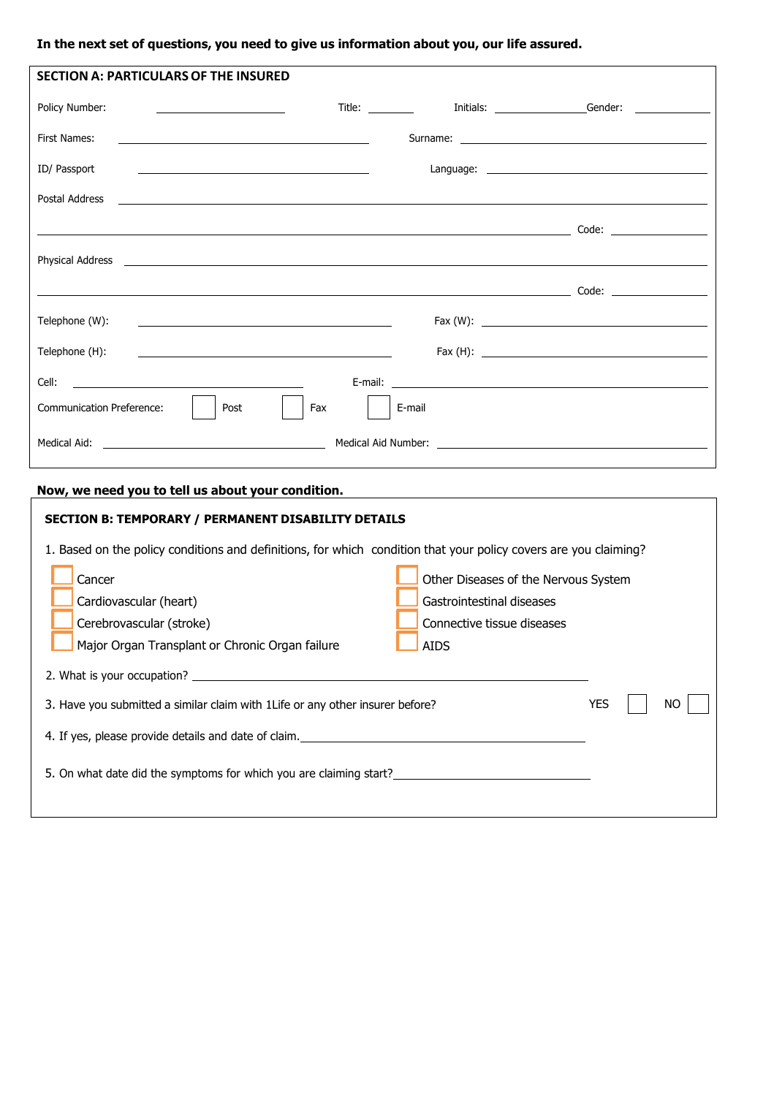# **In the next set of questions, you need to give us information about you, our life assured.**

| <b>SECTION A: PARTICULARS OF THE INSURED</b>                                                                                                                                     |                                                             |  |                                                                                                                                                                                                                               |
|----------------------------------------------------------------------------------------------------------------------------------------------------------------------------------|-------------------------------------------------------------|--|-------------------------------------------------------------------------------------------------------------------------------------------------------------------------------------------------------------------------------|
| Policy Number:<br><u> Alexandria de la contrada de la contrada de la contrada de la contrada de la contrada de la contrada de la c</u>                                           | Title: $\frac{1}{\sqrt{1-\frac{1}{2}}}\sqrt{1-\frac{1}{2}}$ |  | Initials: Cender: Communication                                                                                                                                                                                               |
| First Names:<br><u> 2000 - Andrea Andrew Maria (h. 1878).</u>                                                                                                                    |                                                             |  |                                                                                                                                                                                                                               |
| ID/ Passport<br><u> 1989 - Andrea Stadt Britain, amerikansk politik (</u>                                                                                                        |                                                             |  | Language: the contract of the contract of the contract of the contract of the contract of the contract of the contract of the contract of the contract of the contract of the contract of the contract of the contract of the |
| Postal Address<br><u> 1990 - Jan James Jan Jan James (</u> 1990), político establecente a la propia de la propia de la propia de la pr                                           |                                                             |  |                                                                                                                                                                                                                               |
|                                                                                                                                                                                  |                                                             |  |                                                                                                                                                                                                                               |
|                                                                                                                                                                                  |                                                             |  |                                                                                                                                                                                                                               |
|                                                                                                                                                                                  |                                                             |  |                                                                                                                                                                                                                               |
| Telephone (W):<br><u> 1989 - Johann Barnett, fransk politik (d. 1989)</u>                                                                                                        |                                                             |  |                                                                                                                                                                                                                               |
| Telephone (H):                                                                                                                                                                   |                                                             |  |                                                                                                                                                                                                                               |
| Cell: <b>Cell</b> : <b>Cell Cell Cell Cell Cell Cell Cell Cell Cell Cell Cell Cell Cell Cell Cell Cell Cell Cell Cell Cell Cell Cell Cell Cell Cell Cell Cell Cell Cell Cell</b> |                                                             |  |                                                                                                                                                                                                                               |
| <b>Communication Preference:</b><br>Post<br>Fax                                                                                                                                  | E-mail                                                      |  |                                                                                                                                                                                                                               |
|                                                                                                                                                                                  |                                                             |  |                                                                                                                                                                                                                               |

# **Now, we need you to tell us about your condition.**

| <b>SECTION B: TEMPORARY / PERMANENT DISABILITY DETAILS</b>                                                       |                                                                                                                |  |  |  |  |
|------------------------------------------------------------------------------------------------------------------|----------------------------------------------------------------------------------------------------------------|--|--|--|--|
| 1. Based on the policy conditions and definitions, for which condition that your policy covers are you claiming? |                                                                                                                |  |  |  |  |
| Cancer<br>Cardiovascular (heart)<br>Cerebrovascular (stroke)<br>Major Organ Transplant or Chronic Organ failure  | Other Diseases of the Nervous System<br>Gastrointestinal diseases<br>Connective tissue diseases<br><b>AIDS</b> |  |  |  |  |
| 2. What is your occupation?                                                                                      |                                                                                                                |  |  |  |  |
| 3. Have you submitted a similar claim with 1 Life or any other insurer before?                                   | <b>YES</b><br>NO.                                                                                              |  |  |  |  |
| 4. If yes, please provide details and date of claim.                                                             |                                                                                                                |  |  |  |  |
| 5. On what date did the symptoms for which you are claiming start?                                               |                                                                                                                |  |  |  |  |
|                                                                                                                  |                                                                                                                |  |  |  |  |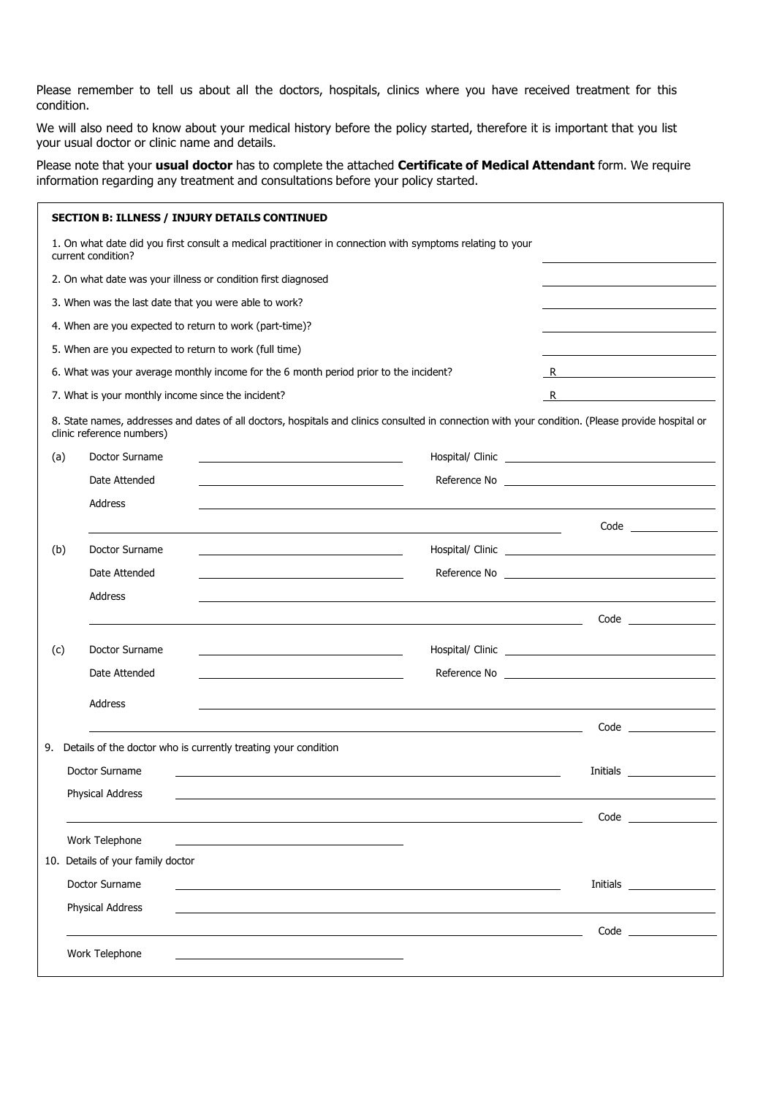Please remember to tell us about all the doctors, hospitals, clinics where you have received treatment for this condition.

We will also need to know about your medical history before the policy started, therefore it is important that you list your usual doctor or clinic name and details.

Please note that your **usual doctor** has to complete the attached **Certificate of Medical Attendant** form. We require information regarding any treatment and consultations before your policy started.

|                                                                                       |                                                        | <b>SECTION B: ILLNESS / INJURY DETAILS CONTINUED</b>           |                                                                                                                                                                                                                                                                                                                                      |                                                                                                                                                                                                                                      |                                                                                                                                                                                                                                |
|---------------------------------------------------------------------------------------|--------------------------------------------------------|----------------------------------------------------------------|--------------------------------------------------------------------------------------------------------------------------------------------------------------------------------------------------------------------------------------------------------------------------------------------------------------------------------------|--------------------------------------------------------------------------------------------------------------------------------------------------------------------------------------------------------------------------------------|--------------------------------------------------------------------------------------------------------------------------------------------------------------------------------------------------------------------------------|
|                                                                                       | current condition?                                     |                                                                | 1. On what date did you first consult a medical practitioner in connection with symptoms relating to your                                                                                                                                                                                                                            |                                                                                                                                                                                                                                      |                                                                                                                                                                                                                                |
|                                                                                       |                                                        | 2. On what date was your illness or condition first diagnosed  |                                                                                                                                                                                                                                                                                                                                      |                                                                                                                                                                                                                                      |                                                                                                                                                                                                                                |
|                                                                                       | 3. When was the last date that you were able to work?  |                                                                |                                                                                                                                                                                                                                                                                                                                      |                                                                                                                                                                                                                                      |                                                                                                                                                                                                                                |
|                                                                                       |                                                        | 4. When are you expected to return to work (part-time)?        |                                                                                                                                                                                                                                                                                                                                      |                                                                                                                                                                                                                                      |                                                                                                                                                                                                                                |
|                                                                                       | 5. When are you expected to return to work (full time) |                                                                |                                                                                                                                                                                                                                                                                                                                      |                                                                                                                                                                                                                                      |                                                                                                                                                                                                                                |
| 6. What was your average monthly income for the 6 month period prior to the incident? |                                                        |                                                                | $R$ and $\overline{R}$ and $\overline{R}$ and $\overline{R}$ and $\overline{R}$ and $\overline{R}$ and $\overline{R}$ and $\overline{R}$ and $\overline{R}$ and $\overline{R}$ and $\overline{R}$ and $\overline{R}$ and $\overline{R}$ and $\overline{R}$ and $\overline{R}$ and $\overline{R}$ and $\overline{R}$ and $\overline{$ |                                                                                                                                                                                                                                      |                                                                                                                                                                                                                                |
| 7. What is your monthly income since the incident?                                    |                                                        |                                                                |                                                                                                                                                                                                                                                                                                                                      | R                                                                                                                                                                                                                                    | <u> 1989 - Johann Barbara, martxa a</u>                                                                                                                                                                                        |
|                                                                                       | clinic reference numbers)                              |                                                                | 8. State names, addresses and dates of all doctors, hospitals and clinics consulted in connection with your condition. (Please provide hospital or                                                                                                                                                                                   |                                                                                                                                                                                                                                      |                                                                                                                                                                                                                                |
| (a)                                                                                   | Doctor Surname                                         |                                                                |                                                                                                                                                                                                                                                                                                                                      |                                                                                                                                                                                                                                      |                                                                                                                                                                                                                                |
|                                                                                       | Date Attended                                          |                                                                |                                                                                                                                                                                                                                                                                                                                      |                                                                                                                                                                                                                                      |                                                                                                                                                                                                                                |
|                                                                                       | Address                                                |                                                                |                                                                                                                                                                                                                                                                                                                                      |                                                                                                                                                                                                                                      |                                                                                                                                                                                                                                |
|                                                                                       |                                                        |                                                                |                                                                                                                                                                                                                                                                                                                                      |                                                                                                                                                                                                                                      | $Code \_$                                                                                                                                                                                                                      |
| (b)                                                                                   | Doctor Surname                                         |                                                                |                                                                                                                                                                                                                                                                                                                                      |                                                                                                                                                                                                                                      |                                                                                                                                                                                                                                |
|                                                                                       | Date Attended                                          |                                                                |                                                                                                                                                                                                                                                                                                                                      | Reference No <b>example and the Contract Contract Contract Contract Contract Contract Contract Contract Contract Contract Contract Contract Contract Contract Contract Contract Contract Contract Contract Contract Contract Con</b> |                                                                                                                                                                                                                                |
|                                                                                       | Address                                                |                                                                |                                                                                                                                                                                                                                                                                                                                      |                                                                                                                                                                                                                                      |                                                                                                                                                                                                                                |
|                                                                                       |                                                        |                                                                |                                                                                                                                                                                                                                                                                                                                      |                                                                                                                                                                                                                                      |                                                                                                                                                                                                                                |
| (c)                                                                                   | Doctor Surname                                         |                                                                |                                                                                                                                                                                                                                                                                                                                      |                                                                                                                                                                                                                                      |                                                                                                                                                                                                                                |
|                                                                                       | Date Attended                                          |                                                                |                                                                                                                                                                                                                                                                                                                                      |                                                                                                                                                                                                                                      |                                                                                                                                                                                                                                |
|                                                                                       | Address                                                |                                                                |                                                                                                                                                                                                                                                                                                                                      |                                                                                                                                                                                                                                      |                                                                                                                                                                                                                                |
|                                                                                       |                                                        |                                                                |                                                                                                                                                                                                                                                                                                                                      |                                                                                                                                                                                                                                      |                                                                                                                                                                                                                                |
| 9.                                                                                    |                                                        | Details of the doctor who is currently treating your condition |                                                                                                                                                                                                                                                                                                                                      |                                                                                                                                                                                                                                      |                                                                                                                                                                                                                                |
|                                                                                       | Doctor Surname                                         |                                                                |                                                                                                                                                                                                                                                                                                                                      | Initials                                                                                                                                                                                                                             |                                                                                                                                                                                                                                |
|                                                                                       | Physical Address                                       |                                                                |                                                                                                                                                                                                                                                                                                                                      |                                                                                                                                                                                                                                      |                                                                                                                                                                                                                                |
|                                                                                       |                                                        |                                                                |                                                                                                                                                                                                                                                                                                                                      |                                                                                                                                                                                                                                      | Code and the contract of the contract of the contract of the contract of the contract of the contract of the contract of the contract of the contract of the contract of the contract of the contract of the contract of the c |
|                                                                                       | Work Telephone                                         |                                                                |                                                                                                                                                                                                                                                                                                                                      |                                                                                                                                                                                                                                      |                                                                                                                                                                                                                                |
|                                                                                       | 10. Details of your family doctor                      |                                                                |                                                                                                                                                                                                                                                                                                                                      |                                                                                                                                                                                                                                      |                                                                                                                                                                                                                                |
|                                                                                       | Doctor Surname                                         |                                                                |                                                                                                                                                                                                                                                                                                                                      |                                                                                                                                                                                                                                      |                                                                                                                                                                                                                                |
|                                                                                       | Physical Address                                       |                                                                |                                                                                                                                                                                                                                                                                                                                      |                                                                                                                                                                                                                                      |                                                                                                                                                                                                                                |
|                                                                                       |                                                        |                                                                |                                                                                                                                                                                                                                                                                                                                      |                                                                                                                                                                                                                                      |                                                                                                                                                                                                                                |
|                                                                                       | Work Telephone                                         |                                                                |                                                                                                                                                                                                                                                                                                                                      |                                                                                                                                                                                                                                      |                                                                                                                                                                                                                                |
|                                                                                       |                                                        |                                                                |                                                                                                                                                                                                                                                                                                                                      |                                                                                                                                                                                                                                      |                                                                                                                                                                                                                                |